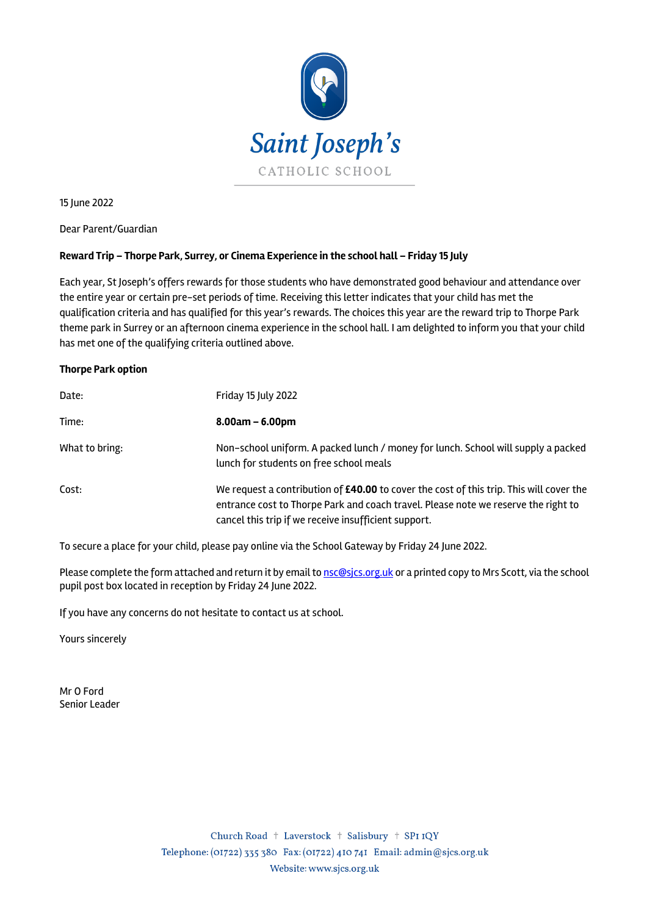

15 June 2022

Dear Parent/Guardian

## **Reward Trip – Thorpe Park, Surrey, or Cinema Experience in the school hall – Friday 15 July**

Each year, St Joseph's offers rewards for those students who have demonstrated good behaviour and attendance over the entire year or certain pre-set periods of time. Receiving this letter indicates that your child has met the qualification criteria and has qualified for this year's rewards. The choices this year are the reward trip to Thorpe Park theme park in Surrey or an afternoon cinema experience in the school hall. I am delighted to inform you that your child has met one of the qualifying criteria outlined above.

## **Thorpe Park option**

| Date:          | Friday 15 July 2022                                                                                                                                                                                                                   |
|----------------|---------------------------------------------------------------------------------------------------------------------------------------------------------------------------------------------------------------------------------------|
| Time:          | $8.00am - 6.00pm$                                                                                                                                                                                                                     |
| What to bring: | Non-school uniform. A packed lunch / money for lunch. School will supply a packed<br>lunch for students on free school meals                                                                                                          |
| Cost:          | We request a contribution of £40.00 to cover the cost of this trip. This will cover the<br>entrance cost to Thorpe Park and coach travel. Please note we reserve the right to<br>cancel this trip if we receive insufficient support. |

To secure a place for your child, please pay online via the School Gateway by Friday 24 June 2022.

Please complete the form attached and return it by email to nsc@sics.org.uk or a printed copy to Mrs Scott, via the school pupil post box located in reception by Friday 24 June 2022.

If you have any concerns do not hesitate to contact us at school.

Yours sincerely

Mr O Ford Senior Leader